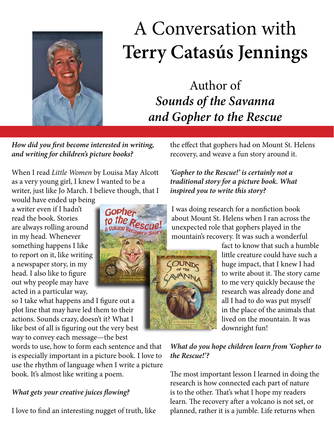

# A Conversation with **Terry Catasús Jennings**

Author of *Sounds of the Savanna and Gopher to the Rescue*

*How did you first become interested in writing, and writing for children's picture books?*

When I read *Little Women* by Louisa May Alcott as a very young girl, I knew I wanted to be a writer, just like Jo March. I believe though, that I

would have ended up being a writer even if I hadn't read the book. Stories are always rolling around in my head. Whenever something happens I like to report on it, like writing a newspaper story, in my head. I also like to figure out why people may have acted in a particular way,

so I take what happens and I figure out a plot line that may have led them to their actions. Sounds crazy, doesn't it? What I like best of all is figuring out the very best way to convey each message—the best

words to use, how to form each sentence and that is especially important in a picture book. I love to use the rhythm of language when I write a picture book. It's almost like writing a poem.

# *What gets your creative juices flowing?*

I love to find an interesting nugget of truth, like

the effect that gophers had on Mount St. Helens recovery, and weave a fun story around it.

# *'Gopher to the Rescue!' is certainly not a traditional story for a picture book. What inspired you to write this story?*

I was doing research for a nonfiction book about Mount St. Helens when I ran across the unexpected role that gophers played in the mountain's recovery. It was such a wonderful

> fact to know that such a humble little creature could have such a huge impact, that I knew I had to write about it. The story came to me very quickly because the research was already done and all I had to do was put myself in the place of the animals that lived on the mountain. It was downright fun!

*What do you hope children learn from 'Gopher to the Rescue!'?*

The most important lesson I learned in doing the research is how connected each part of nature is to the other. That's what I hope my readers learn. The recovery after a volcano is not set, or planned, rather it is a jumble. Life returns when